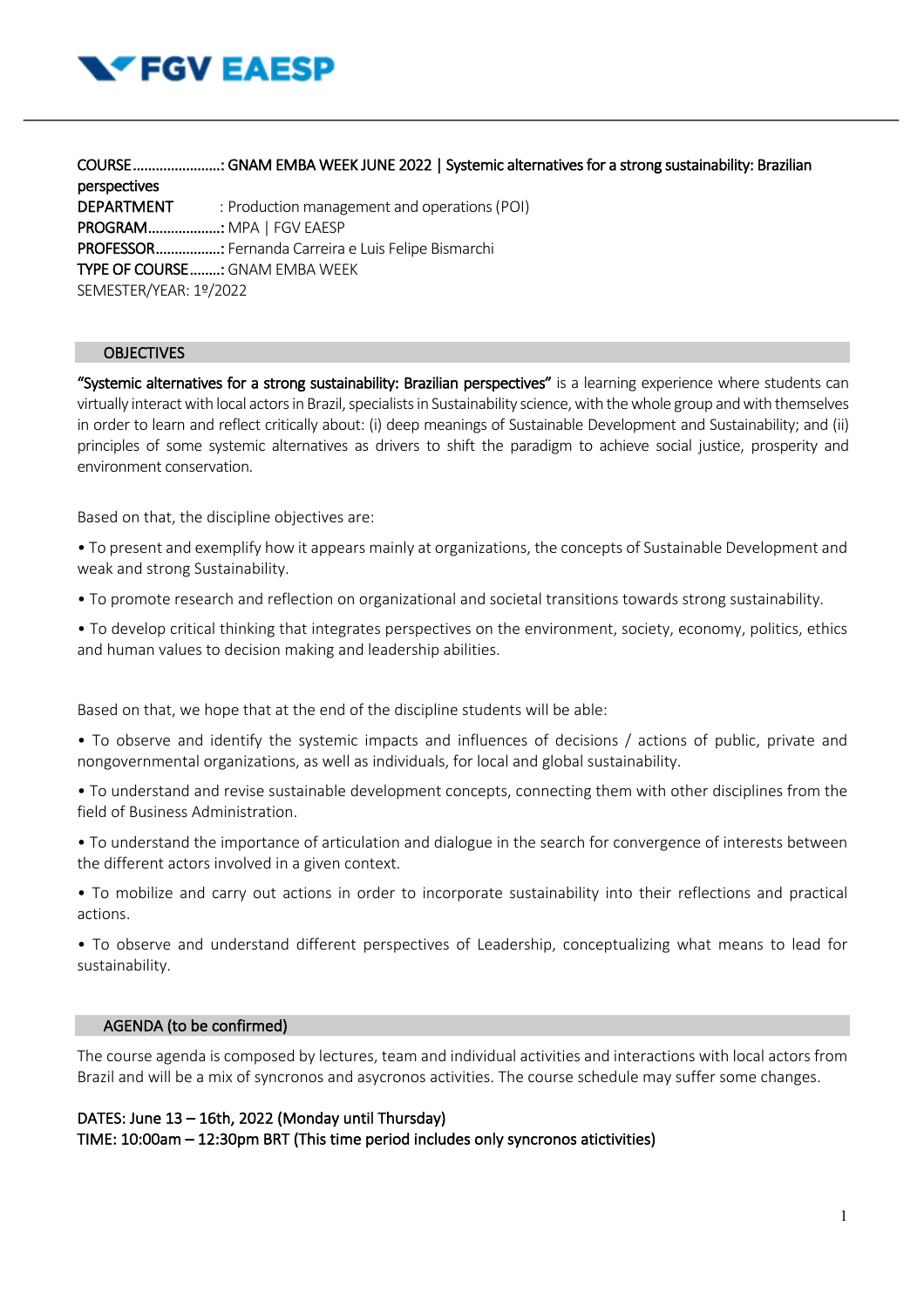

COURSE ....................... : GNAM EMBA WEEK JUNE 2022 | Systemic alternatives for a strong sustainability: Brazilian perspectives DEPARTMENT : Production management and operations (POI) PROGRAM ................... : MPA | FGV EAESP PROFESSOR ................. : Fernanda Carreira e Luis Felipe Bismarchi TYPE OF COURSE ........: GNAM EMBA WEEK SEMESTER/YEAR: 1º/2022

# **OBJECTIVES**

"Systemic alternatives for a strong sustainability: Brazilian perspectives" is a learning experience where students can virtually interact with local actorsin Brazil, specialists in Sustainability science, with the whole group and with themselves in order to learn and reflect critically about: (i) deep meanings of Sustainable Development and Sustainability; and (ii) principles of some systemic alternatives as drivers to shift the paradigm to achieve social justice, prosperity and environment conservation.

Based on that, the discipline objectives are:

• To present and exemplify how it appears mainly at organizations, the concepts of Sustainable Development and weak and strong Sustainability.

• To promote research and reflection on organizational and societal transitions towards strong sustainability.

• To develop critical thinking that integrates perspectives on the environment, society, economy, politics, ethics and human values to decision making and leadership abilities.

Based on that, we hope that at the end of the discipline students will be able:

• To observe and identify the systemic impacts and influences of decisions / actions of public, private and nongovernmental organizations, as well as individuals, for local and global sustainability.

• To understand and revise sustainable development concepts, connecting them with other disciplines from the field of Business Administration.

• To understand the importance of articulation and dialogue in the search for convergence of interests between the different actors involved in a given context.

• To mobilize and carry out actions in order to incorporate sustainability into their reflections and practical actions.

• To observe and understand different perspectives of Leadership, conceptualizing what means to lead for sustainability.

# AGENDA (to be confirmed)

The course agenda is composed by lectures, team and individual activities and interactions with local actors from Brazil and will be a mix of syncronos and asycronos activities. The course schedule may suffer some changes.

# DATES: June 13 – 16th, 2022 (Monday until Thursday) TIME: 10:00am – 12:30pm BRT (This time period includes only syncronos atictivities)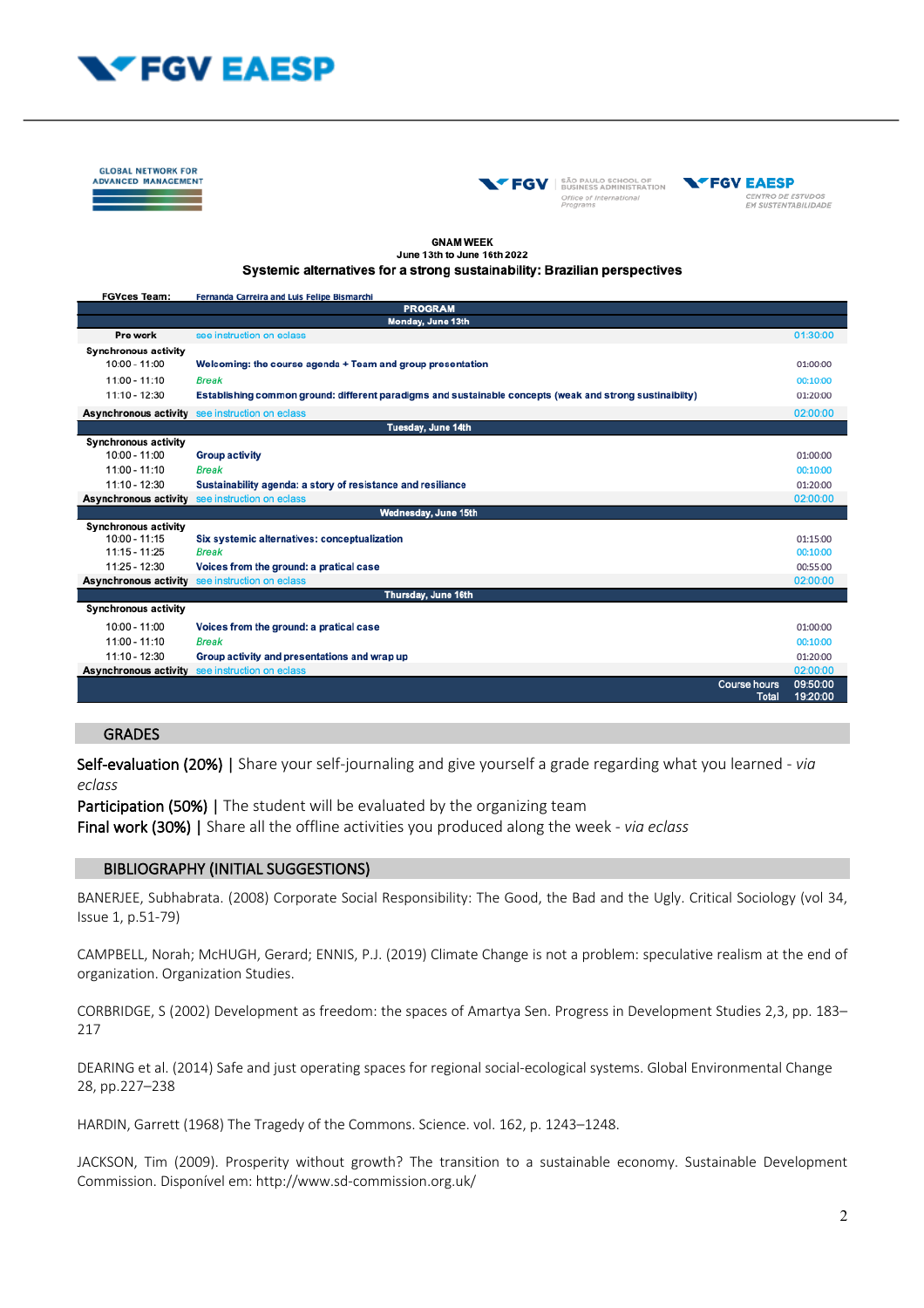

**GLOBAL NETWORK FOR ADVANCED MANAGEMENT** 





#### **GNAM WEEK** June 13th to June 16th 2022

#### Systemic alternatives for a strong sustainability: Brazilian perspectives

| <b>FGVces Team:</b>          | Fernanda Carreira and Luis Felipe Bismarchi                                                              |                      |
|------------------------------|----------------------------------------------------------------------------------------------------------|----------------------|
| <b>PROGRAM</b>               |                                                                                                          |                      |
| Monday, June 13th            |                                                                                                          |                      |
| Pre work                     | see instruction on eclass                                                                                | 01:30:00             |
| <b>Synchronous activity</b>  |                                                                                                          |                      |
| $10:00 - 11:00$              | Welcoming: the course agenda + Team and group presentation                                               | 01:00:00             |
| $11:00 - 11:10$              | <b>Break</b>                                                                                             | 00:10:00             |
| 11:10 - 12:30                | Establishing common ground: different paradigms and sustainable concepts (weak and strong sustinaibilty) | 01:20:00             |
| <b>Asynchronous activity</b> | see instruction on eclass                                                                                | 02:00:00             |
| Tuesday, June 14th           |                                                                                                          |                      |
| <b>Synchronous activity</b>  |                                                                                                          |                      |
| 10:00 - 11:00                | <b>Group activity</b>                                                                                    | 01:00:00             |
| 11:00 - 11:10                | <b>Break</b>                                                                                             | 00:10:00             |
| 11:10 - 12:30                | Sustainability agenda: a story of resistance and resiliance                                              | 01:20:00             |
| Asynchronous activity        | see instruction on eclass                                                                                | 02:00:00             |
| Wednesday, June 15th         |                                                                                                          |                      |
| <b>Synchronous activity</b>  |                                                                                                          |                      |
| $10:00 - 11:15$              | Six systemic alternatives: conceptualization                                                             | 01:15:00             |
| $11:15 - 11:25$              | <b>Break</b>                                                                                             | 00:10:00             |
| 11:25 - 12:30                | Voices from the ground: a pratical case                                                                  | 00:55:00             |
| Asynchronous activity        | see instruction on eclass                                                                                | 02:00:00             |
| Thursday, June 16th          |                                                                                                          |                      |
| <b>Synchronous activity</b>  |                                                                                                          |                      |
| $10:00 - 11:00$              | Voices from the ground: a pratical case                                                                  | 01:00:00             |
| $11:00 - 11:10$              | <b>Break</b>                                                                                             | 00:10:00             |
| 11:10 - 12:30                | Group activity and presentations and wrap up                                                             | 01:20:00             |
| Asynchronous activity        | see instruction on eclass                                                                                | 02:00:00             |
|                              | <b>Course hours</b><br><b>Total</b>                                                                      | 09:50:00<br>19:20:00 |

### GRADES

Self-evaluation (20%) | Share your self-journaling and give yourself a grade regarding what you learned - *via eclass*

Participation (50%) | The student will be evaluated by the organizing team

Final work (30%) | Share all the offline activities you produced along the week - *via eclass*

### BIBLIOGRAPHY (INITIAL SUGGESTIONS)

BANERJEE, Subhabrata. (2008) Corporate Social Responsibility: The Good, the Bad and the Ugly. Critical Sociology (vol 34, Issue 1, p.51-79)

CAMPBELL, Norah; McHUGH, Gerard; ENNIS, P.J. (2019) Climate Change is not a problem: speculative realism at the end of organization. Organization Studies.

CORBRIDGE, S (2002) Development as freedom: the spaces of Amartya Sen. Progress in Development Studies 2,3, pp. 183– 217

DEARING et al. (2014) Safe and just operating spaces for regional social-ecological systems. Global Environmental Change 28, pp.227–238

HARDIN, Garrett (1968) The Tragedy of the Commons. Science. vol. 162, p. 1243–1248.

JACKSON, Tim (2009). Prosperity without growth? The transition to a sustainable economy. Sustainable Development Commission. Disponível em: http://www.sd-commission.org.uk/